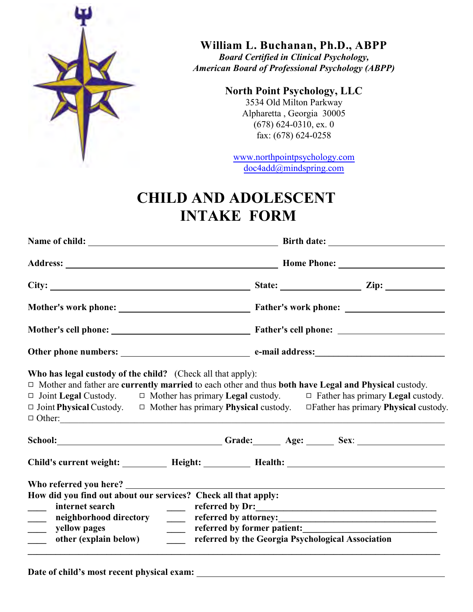

**William L. Buchanan, Ph.D., ABPP**

*Board Certified in Clinical Psychology, American Board of Professional Psychology (ABPP)*

## **North Point Psychology, LLC**

3534 Old Milton Parkway Alpharetta , Georgia 30005 (678) 624-0310, ex. 0 fax: (678) 624-0258

www.northpointpsychology.com doc4add@mindspring.com

## **CHILD AND ADOLESCENT INTAKE FORM**

|                                                                                                                                                                                                                                                                                                                                                     | State: $\qquad \qquad \qquad \text{Zip:} \qquad \qquad$              |
|-----------------------------------------------------------------------------------------------------------------------------------------------------------------------------------------------------------------------------------------------------------------------------------------------------------------------------------------------------|----------------------------------------------------------------------|
|                                                                                                                                                                                                                                                                                                                                                     |                                                                      |
|                                                                                                                                                                                                                                                                                                                                                     |                                                                      |
|                                                                                                                                                                                                                                                                                                                                                     |                                                                      |
| □ Mother and father are currently married to each other and thus both have Legal and Physical custody.<br>$\Box$ Joint Legal Custody. $\Box$ Mother has primary Legal custody. $\Box$ Father has primary Legal custody.<br>□ Joint Physical Custody. □ Mother has primary Physical custody. □ Father has primary Physical custody.<br>$\Box$ Other: |                                                                      |
|                                                                                                                                                                                                                                                                                                                                                     |                                                                      |
| How did you find out about our services? Check all that apply:<br>internet search<br>$\frac{1}{2}$ and $\frac{1}{2}$<br>$\sim$<br>neighborhood directory<br>$\overline{\phantom{a}}$<br>$\frac{1}{2}$<br>$\frac{1}{1}$<br>yellow pages<br>$\frac{1}{2}$<br>other (explain below)<br>$\frac{1}{2}$                                                   | referred by Dr:<br>referred by the Georgia Psychological Association |

**Date of child's most recent physical exam:**